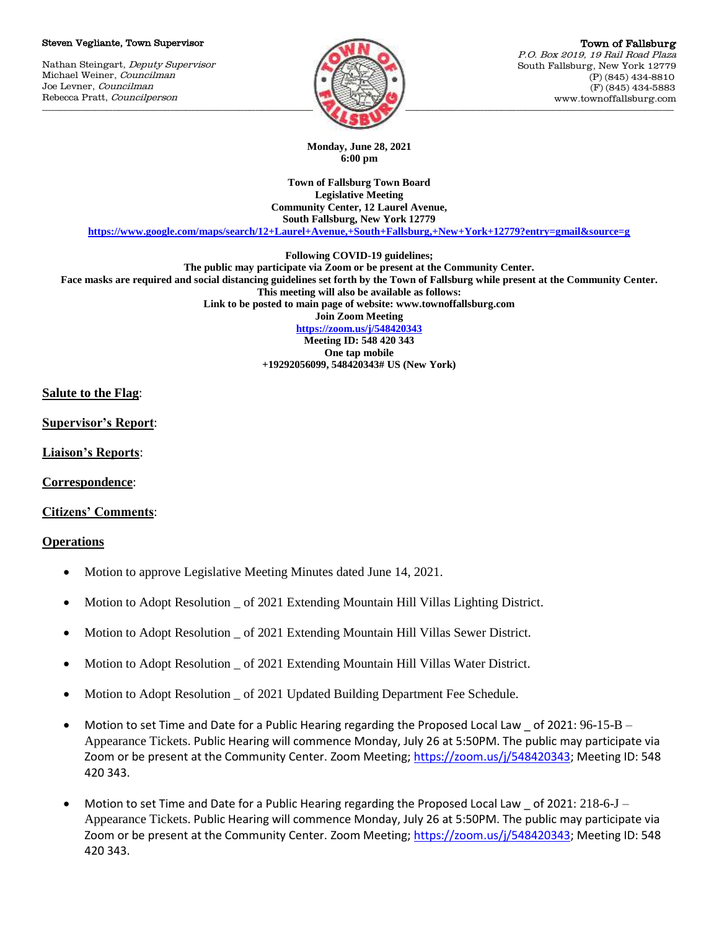#### Steven Vegliante, Town Supervisor

Nathan Steingart, Deputy Supervisor Michael Weiner, Councilman Joe Levner, Councilman Rebecca Pratt, Councilperson



Town of Fallsburg P.O. Box 2019, 19 Rail Road Plaza South Fallsburg, New York 12779 (P) (845) 434-8810 (F) (845) 434-5883 www.townoffallsburg.com

**Monday, June 28, 2021 6:00 pm**

**Town of Fallsburg Town Board Legislative Meeting Community Center, 12 Laurel Avenue, South Fallsburg, New York 12779**

**<https://www.google.com/maps/search/12+Laurel+Avenue,+South+Fallsburg,+New+York+12779?entry=gmail&source=g>**

**Following COVID-19 guidelines;**

**The public may participate via Zoom or be present at the Community Center. Face masks are required and social distancing guidelines set forth by the Town of Fallsburg while present at the Community Center.**

**This meeting will also be available as follows:**

**Link to be posted to main page of website: www.townoffallsburg.com** 

**Join Zoom Meeting**

**<https://zoom.us/j/548420343> Meeting ID: 548 420 343 One tap mobile +19292056099, 548420343# US (New York)**

**Salute to the Flag**:

**Supervisor's Report**:

**Liaison's Reports**:

**Correspondence**:

**Citizens' Comments**:

### **Operations**

- Motion to approve Legislative Meeting Minutes dated June 14, 2021.
- Motion to Adopt Resolution \_ of 2021 Extending Mountain Hill Villas Lighting District.
- Motion to Adopt Resolution \_ of 2021 Extending Mountain Hill Villas Sewer District.
- Motion to Adopt Resolution \_ of 2021 Extending Mountain Hill Villas Water District.
- Motion to Adopt Resolution \_ of 2021 Updated Building Department Fee Schedule.
- Motion to set Time and Date for a Public Hearing regarding the Proposed Local Law of 2021:  $96-15-B -$ Appearance Tickets. Public Hearing will commence Monday, July 26 at 5:50PM. The public may participate via Zoom or be present at the Community Center. Zoom Meeting; [https://zoom.us/j/548420343;](https://zoom.us/j/548420343) Meeting ID: 548 420 343.
- $\bullet$  Motion to set Time and Date for a Public Hearing regarding the Proposed Local Law of 2021: 218-6-J Appearance Tickets. Public Hearing will commence Monday, July 26 at 5:50PM. The public may participate via Zoom or be present at the Community Center. Zoom Meeting; [https://zoom.us/j/548420343;](https://zoom.us/j/548420343) Meeting ID: 548 420 343.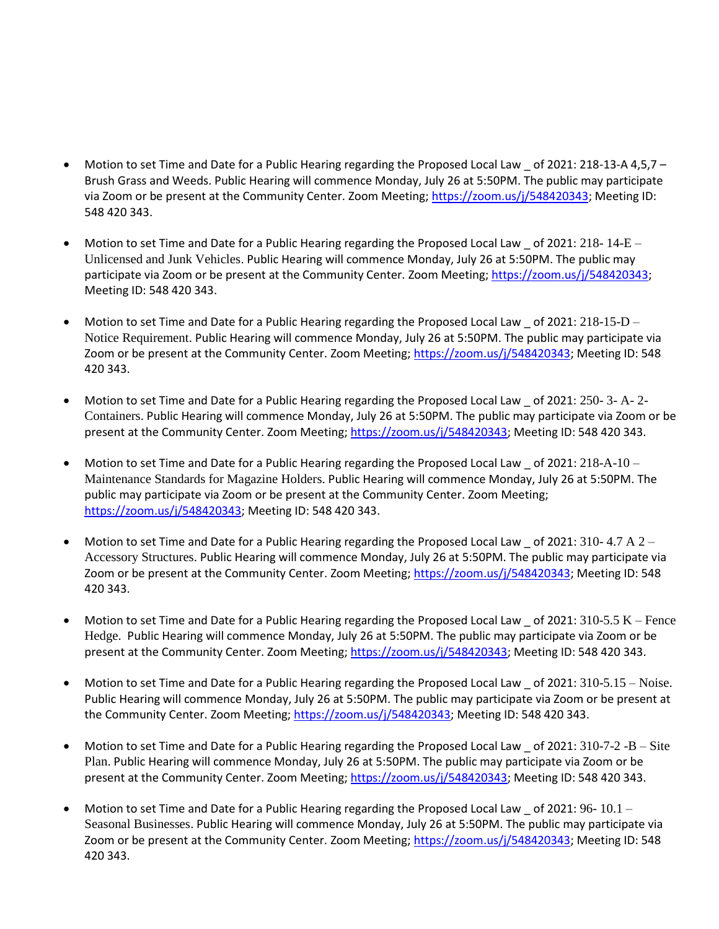- Motion to set Time and Date for a Public Hearing regarding the Proposed Local Law \_ of 2021: 218-13-A 4,5,7 Brush Grass and Weeds. Public Hearing will commence Monday, July 26 at 5:50PM. The public may participate via Zoom or be present at the Community Center. Zoom Meeting[; https://zoom.us/j/548420343;](https://zoom.us/j/548420343) Meeting ID: 548 420 343.
- Motion to set Time and Date for a Public Hearing regarding the Proposed Local Law of 2021: 218-14-E Unlicensed and Junk Vehicles. Public Hearing will commence Monday, July 26 at 5:50PM. The public may participate via Zoom or be present at the Community Center. Zoom Meeting[; https://zoom.us/j/548420343;](https://zoom.us/j/548420343) Meeting ID: 548 420 343.
- Motion to set Time and Date for a Public Hearing regarding the Proposed Local Law \_ of 2021: 218-15-D -Notice Requirement. Public Hearing will commence Monday, July 26 at 5:50PM. The public may participate via Zoom or be present at the Community Center. Zoom Meeting; [https://zoom.us/j/548420343;](https://zoom.us/j/548420343) Meeting ID: 548 420 343.
- Motion to set Time and Date for a Public Hearing regarding the Proposed Local Law \_ of 2021: 250- 3- A- 2- Containers. Public Hearing will commence Monday, July 26 at 5:50PM. The public may participate via Zoom or be present at the Community Center. Zoom Meeting[; https://zoom.us/j/548420343;](https://zoom.us/j/548420343) Meeting ID: 548 420 343.
- Motion to set Time and Date for a Public Hearing regarding the Proposed Local Law of 2021:  $218-A-10 -$ Maintenance Standards for Magazine Holders. Public Hearing will commence Monday, July 26 at 5:50PM. The public may participate via Zoom or be present at the Community Center. Zoom Meeting; [https://zoom.us/j/548420343;](https://zoom.us/j/548420343) Meeting ID: 548 420 343.
- Motion to set Time and Date for a Public Hearing regarding the Proposed Local Law  $\_$  of 2021: 310- 4.7 A 2 Accessory Structures. Public Hearing will commence Monday, July 26 at 5:50PM. The public may participate via Zoom or be present at the Community Center. Zoom Meeting; [https://zoom.us/j/548420343;](https://zoom.us/j/548420343) Meeting ID: 548 420 343.
- Motion to set Time and Date for a Public Hearing regarding the Proposed Local Law of 2021:  $310\text{-}5.5 \text{ K}$  Fence Hedge. Public Hearing will commence Monday, July 26 at 5:50PM. The public may participate via Zoom or be present at the Community Center. Zoom Meeting[; https://zoom.us/j/548420343;](https://zoom.us/j/548420343) Meeting ID: 548 420 343.
- Motion to set Time and Date for a Public Hearing regarding the Proposed Local Law \_ of 2021: 310-5.15 Noise. Public Hearing will commence Monday, July 26 at 5:50PM. The public may participate via Zoom or be present at the Community Center. Zoom Meeting; [https://zoom.us/j/548420343;](https://zoom.us/j/548420343) Meeting ID: 548 420 343.
- Motion to set Time and Date for a Public Hearing regarding the Proposed Local Law  $\_$  of 2021: 310-7-2 -B  $-$  Site Plan. Public Hearing will commence Monday, July 26 at 5:50PM. The public may participate via Zoom or be present at the Community Center. Zoom Meeting[; https://zoom.us/j/548420343;](https://zoom.us/j/548420343) Meeting ID: 548 420 343.
- Motion to set Time and Date for a Public Hearing regarding the Proposed Local Law \_ of 2021: 96- 10.1 -Seasonal Businesses. Public Hearing will commence Monday, July 26 at 5:50PM. The public may participate via Zoom or be present at the Community Center. Zoom Meeting; [https://zoom.us/j/548420343;](https://zoom.us/j/548420343) Meeting ID: 548 420 343.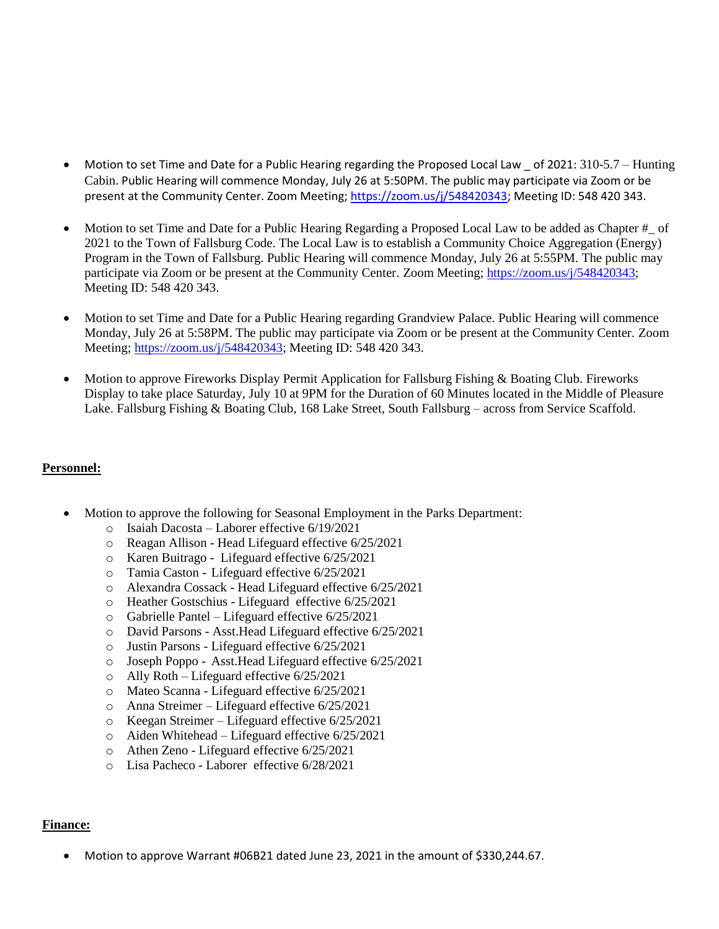- Motion to set Time and Date for a Public Hearing regarding the Proposed Local Law \_ of 2021: 310-5.7 Hunting Cabin. Public Hearing will commence Monday, July 26 at 5:50PM. The public may participate via Zoom or be present at the Community Center. Zoom Meeting[; https://zoom.us/j/548420343;](https://zoom.us/j/548420343) Meeting ID: 548 420 343.
- Motion to set Time and Date for a Public Hearing Regarding a Proposed Local Law to be added as Chapter # of 2021 to the Town of Fallsburg Code. The Local Law is to establish a Community Choice Aggregation (Energy) Program in the Town of Fallsburg. Public Hearing will commence Monday, July 26 at 5:55PM. The public may participate via Zoom or be present at the Community Center. Zoom Meeting[; https://zoom.us/j/548420343;](https://zoom.us/j/548420343) Meeting ID: 548 420 343.
- Motion to set Time and Date for a Public Hearing regarding Grandview Palace. Public Hearing will commence Monday, July 26 at 5:58PM. The public may participate via Zoom or be present at the Community Center. Zoom Meeting; [https://zoom.us/j/548420343;](https://zoom.us/j/548420343) Meeting ID: 548 420 343.
- Motion to approve Fireworks Display Permit Application for Fallsburg Fishing & Boating Club. Fireworks Display to take place Saturday, July 10 at 9PM for the Duration of 60 Minutes located in the Middle of Pleasure Lake. Fallsburg Fishing & Boating Club, 168 Lake Street, South Fallsburg – across from Service Scaffold.

# **Personnel:**

- Motion to approve the following for Seasonal Employment in the Parks Department:
	- o Isaiah Dacosta Laborer effective 6/19/2021
	- o Reagan Allison Head Lifeguard effective 6/25/2021
	- o Karen Buitrago Lifeguard effective 6/25/2021
	- o Tamia Caston Lifeguard effective 6/25/2021
	- o Alexandra Cossack Head Lifeguard effective 6/25/2021
	- o Heather Gostschius Lifeguard effective 6/25/2021
	- o Gabrielle Pantel Lifeguard effective 6/25/2021
	- o David Parsons Asst.Head Lifeguard effective 6/25/2021
	- o Justin Parsons Lifeguard effective 6/25/2021
	- o Joseph Poppo Asst.Head Lifeguard effective 6/25/2021
	- o Ally Roth Lifeguard effective 6/25/2021
	- o Mateo Scanna Lifeguard effective 6/25/2021
	- o Anna Streimer Lifeguard effective 6/25/2021
	- o Keegan Streimer Lifeguard effective 6/25/2021
	- o Aiden Whitehead Lifeguard effective 6/25/2021
	- o Athen Zeno Lifeguard effective 6/25/2021
	- o Lisa Pacheco Laborer effective 6/28/2021

## **Finance:**

Motion to approve Warrant #06B21 dated June 23, 2021 in the amount of \$330,244.67.